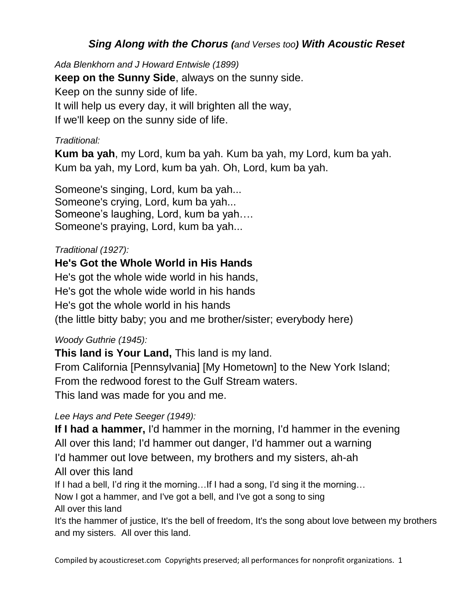# *Sing Along with the Chorus (and Verses too) With Acoustic Reset*

*Ada Blenkhorn and J Howard Entwisle (1899)* **Keep on the Sunny Side**, always on the sunny side. Keep on the sunny side of life. It will help us every day, it will brighten all the way, If we'll keep on the sunny side of life.

#### *Traditional:*

**Kum ba yah**, my Lord, kum ba yah. Kum ba yah, my Lord, kum ba yah. Kum ba yah, my Lord, kum ba yah. Oh, Lord, kum ba yah.

Someone's singing, Lord, kum ba yah... Someone's crying, Lord, kum ba yah... Someone's laughing, Lord, kum ba yah…. Someone's praying, Lord, kum ba yah...

#### *Traditional (1927):*

## **He's Got the Whole World in His Hands**

He's got the whole wide world in his hands, He's got the whole wide world in his hands He's got the whole world in his hands (the little bitty baby; you and me brother/sister; everybody here)

## *Woody Guthrie (1945):*

# **This land is Your Land,** This land is my land.

From California [Pennsylvania] [My Hometown] to the New York Island; From the redwood forest to the Gulf Stream waters.

This land was made for you and me.

#### *Lee Hays and Pete Seeger (1949):*

**If I had a hammer,** I'd hammer in the morning, I'd hammer in the evening All over this land; I'd hammer out danger, I'd hammer out a warning I'd hammer out love between, my brothers and my sisters, ah-ah All over this land

If I had a bell, I'd ring it the morning…If I had a song, I'd sing it the morning…

Now I got a hammer, and I've got a bell, and I've got a song to sing

All over this land

It's the hammer of justice, It's the bell of freedom, It's the song about love between my brothers and my sisters. All over this land.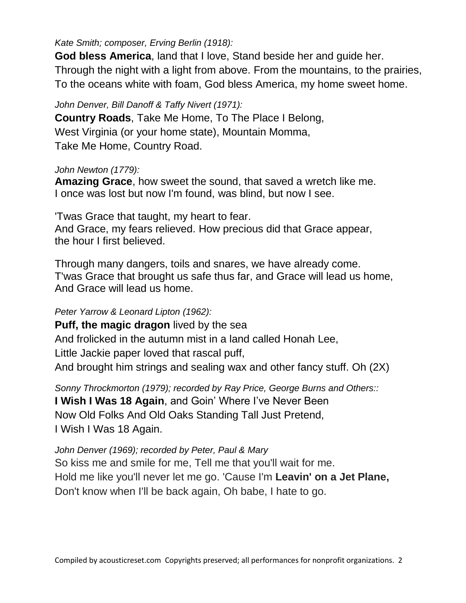#### *Kate Smith; composer, Erving Berlin (1918):*

**God bless America**, land that I love, Stand beside her and guide her. Through the night with a light from above. From the mountains, to the prairies, To the oceans white with foam, God bless America, my home sweet home.

*John Denver, Bill Danoff & Taffy Nivert (1971):*

**Country Roads**, Take Me Home, To The Place I Belong, West Virginia (or your home state), Mountain Momma,

Take Me Home, Country Road.

#### *John Newton (1779):*

**Amazing Grace**, how sweet the sound, that saved a wretch like me. I once was lost but now I'm found, was blind, but now I see.

'Twas Grace that taught, my heart to fear. And Grace, my fears relieved. How precious did that Grace appear, the hour I first believed.

Through many dangers, toils and snares, we have already come. T'was Grace that brought us safe thus far, and Grace will lead us home, And Grace will lead us home.

*Peter Yarrow & Leonard Lipton (1962):*

**Puff, the magic dragon** lived by the sea

And frolicked in the autumn mist in a land called Honah Lee,

Little Jackie paper loved that rascal puff,

And brought him strings and sealing wax and other fancy stuff. Oh (2X)

*Sonny Throckmorton (1979); recorded by Ray Price, George Burns and Others::* **I Wish I Was 18 Again**, and Goin' Where I've Never Been Now Old Folks And Old Oaks Standing Tall Just Pretend, I Wish I Was 18 Again.

*John Denver (1969); recorded by Peter, Paul & Mary* So kiss me and smile for me, Tell me that you'll wait for me. Hold me like you'll never let me go. 'Cause I'm **Leavin' on a Jet Plane,** Don't know when I'll be back again, Oh babe, I hate to go.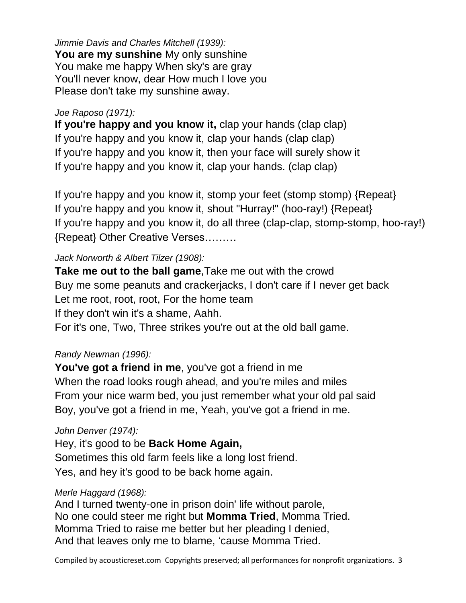*Jimmie Davis and Charles Mitchell (1939):* **You are my sunshine** My only sunshine You make me happy When sky's are gray You'll never know, dear How much I love you Please don't take my sunshine away.

#### *Joe Raposo (1971):*

**If you're happy and you know it,** clap your hands (clap clap) If you're happy and you know it, clap your hands (clap clap) If you're happy and you know it, then your face will surely show it If you're happy and you know it, clap your hands. (clap clap)

If you're happy and you know it, stomp your feet (stomp stomp) {Repeat} If you're happy and you know it, shout "Hurray!" (hoo-ray!) {Repeat} If you're happy and you know it, do all three (clap-clap, stomp-stomp, hoo-ray!) {Repeat} Other Creative Verses………

#### *Jack Norworth & Albert Tilzer (1908):*

**Take me out to the ball game**,Take me out with the crowd Buy me some peanuts and crackerjacks, I don't care if I never get back Let me root, root, root, For the home team If they don't win it's a shame, Aahh.

For it's one, Two, Three strikes you're out at the old ball game.

## *Randy Newman (1996):*

**You've got a friend in me**, you've got a friend in me When the road looks rough ahead, and you're miles and miles From your nice warm bed, you just remember what your old pal said Boy, you've got a friend in me, Yeah, you've got a friend in me.

#### *John Denver (1974):*

Hey, it's good to be **Back Home Again,** 

Sometimes this old farm feels like a long lost friend.

Yes, and hey it's good to be back home again.

#### *Merle Haggard (1968):*

And I turned twenty-one in prison doin' life without parole, No one could steer me right but **Momma Tried**, Momma Tried. Momma Tried to raise me better but her pleading I denied, And that leaves only me to blame, 'cause Momma Tried.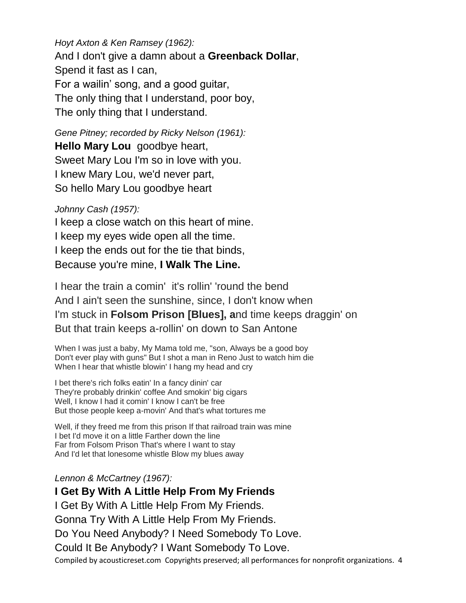*Hoyt Axton & Ken Ramsey (1962):* And I don't give a damn about a **Greenback Dollar**, Spend it fast as I can, For a wailin' song, and a good guitar, The only thing that I understand, poor boy, The only thing that I understand.

*Gene Pitney; recorded by Ricky Nelson (1961):* **Hello Mary Lou** goodbye heart, Sweet Mary Lou I'm so in love with you. I knew Mary Lou, we'd never part, So hello Mary Lou goodbye heart

#### *Johnny Cash (1957):*

I keep a close watch on this heart of mine. I keep my eyes wide open all the time. I keep the ends out for the tie that binds, Because you're mine, **I Walk The Line.**

I hear the train a comin' it's rollin' 'round the bend And I ain't seen the sunshine, since, I don't know when I'm stuck in **Folsom Prison [Blues], a**nd time keeps draggin' on But that train keeps a-rollin' on down to San Antone

When I was just a baby, My Mama told me, "son, Always be a good boy Don't ever play with guns" But I shot a man in Reno Just to watch him die When I hear that whistle blowin' I hang my head and cry

I bet there's rich folks eatin' In a fancy dinin' car They're probably drinkin' coffee And smokin' big cigars Well, I know I had it comin' I know I can't be free But those people keep a-movin' And that's what tortures me

Well, if they freed me from this prison If that railroad train was mine I bet I'd move it on a little Farther down the line Far from Folsom Prison That's where I want to stay And I'd let that lonesome whistle Blow my blues away

*Lennon & McCartney (1967):*

## **I Get By With A Little Help From My Friends**

Compiled by acousticreset.com Copyrights preserved; all performances for nonprofit organizations. 4 I Get By With A Little Help From My Friends. Gonna Try With A Little Help From My Friends. Do You Need Anybody? I Need Somebody To Love. Could It Be Anybody? I Want Somebody To Love.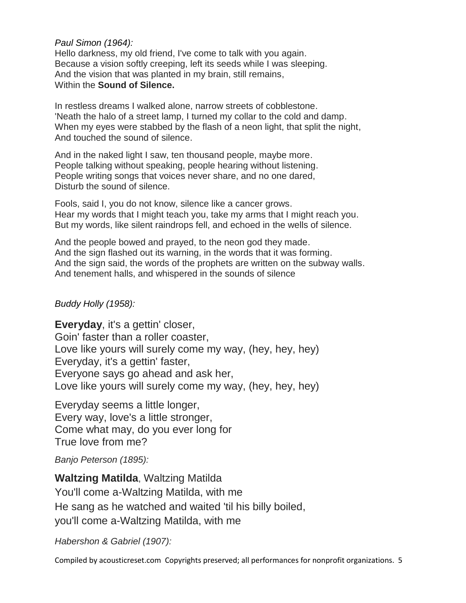#### *Paul Simon (1964):*

Hello darkness, my old friend, I've come to talk with you again. Because a vision softly creeping, left its seeds while I was sleeping. And the vision that was planted in my brain, still remains, Within the **Sound of Silence.**

In restless dreams I walked alone, narrow streets of cobblestone. 'Neath the halo of a street lamp, I turned my collar to the cold and damp. When my eyes were stabbed by the flash of a neon light, that split the night, And touched the sound of silence.

And in the naked light I saw, ten thousand people, maybe more. People talking without speaking, people hearing without listening. People writing songs that voices never share, and no one dared, Disturb the sound of silence.

Fools, said I, you do not know, silence like a cancer grows. Hear my words that I might teach you, take my arms that I might reach you. But my words, like silent raindrops fell, and echoed in the wells of silence.

And the people bowed and prayed, to the neon god they made. And the sign flashed out its warning, in the words that it was forming. And the sign said, the words of the prophets are written on the subway walls. And tenement halls, and whispered in the sounds of silence

*Buddy Holly (1958):*

**Everyday**, it's a gettin' closer, Goin' faster than a roller coaster, Love like yours will surely come my way, (hey, hey, hey) Everyday, it's a gettin' faster, Everyone says go ahead and ask her, Love like yours will surely come my way, (hey, hey, hey)

Everyday seems a little longer, Every way, love's a little stronger, Come what may, do you ever long for True love from me?

*Banjo Peterson (1895):*

**Waltzing Matilda**, Waltzing Matilda You'll come a-Waltzing Matilda, with me He sang as he watched and waited 'til his billy boiled, you'll come a-Waltzing Matilda, with me

*Habershon & Gabriel (1907):*

Compiled by acousticreset.com Copyrights preserved; all performances for nonprofit organizations. 5